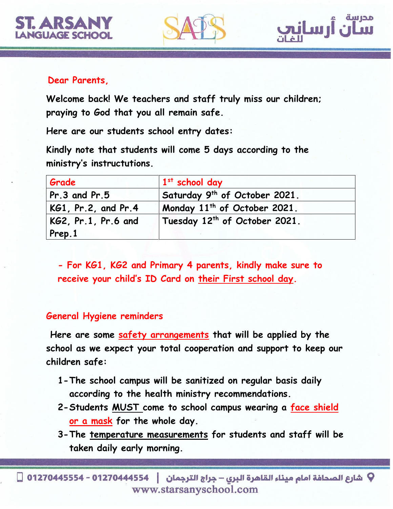





## **Dear Parents,**

**Welcome back! We teachers and staff truly miss our children; praying to God that you all remain safe.**

**Here are our students school entry dates:**

**Kindly note that students will come 5 days according to the ministry's instructutions.**

| Grade               | $1st$ school day                          |
|---------------------|-------------------------------------------|
| $Pr.3$ and $Pr.5$   | Saturday 9th of October 2021.             |
| KG1, Pr.2, and Pr.4 | Monday 11 <sup>th</sup> of October 2021.  |
| KG2, Pr.1, Pr.6 and | Tuesday 12 <sup>th</sup> of October 2021. |
| Prep.1              |                                           |

**- For KG1, KG2 and Primary 4 parents, kindly make sure to receive your child's ID Card on their First school day.** 

## **General Hygiene reminders**

**Here are some safety arrangements that will be applied by the school as we expect your total cooperation and support to keep our children safe:**

- **1-The school campus will be sanitized on regular basis daily according to the health ministry recommendations.**
- **2-Students MUST come to school campus wearing a face shield or a mask for the whole day.**
- **3-The temperature measurements for students and staff will be taken daily early morning.**

V شارع الصحافة امام ميناء القاهرة البري – جراج الترجمان │ 012704445554 - 01270445554 □ www.starsanyschool.com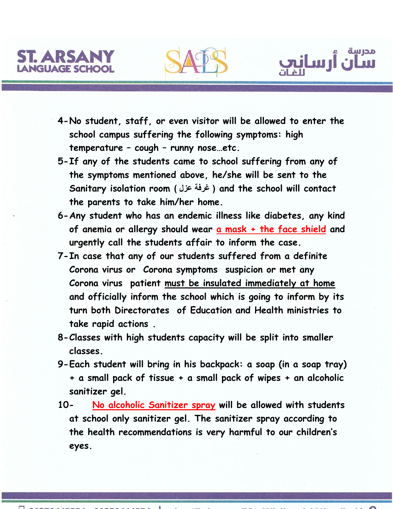



ن<br>ن أرسان<u>ي</u>

- **5-If any of the students came to school suffering from any of the symptoms mentioned above, he/she will be sent to the Sanitary isolation room ) عزل غرفة ) and the school will contact the parents to take him/her home.**
- **6-Any student who has an endemic illness like diabetes, any kind of anemia or allergy should wear a mask + the face shield and urgently call the students affair to inform the case.**
- **7-In case that any of our students suffered from a definite Corona virus or Corona symptoms suspicion or met any Corona virus patient must be insulated immediately at home and officially inform the school which is going to inform by its turn both Directorates of Education and Health ministries to take rapid actions .**
- **8-Classes with high students capacity will be split into smaller classes.**
- **9-Each student will bring in his backpack: a soap (in a soap tray) + a small pack of tissue + a small pack of wipes + an alcoholic sanitizer gel.**
- **10- No alcoholic Sanitizer spray will be allowed with students at school only sanitizer gel. The sanitizer spray according to the health recommendations is very harmful to our children's eyes.**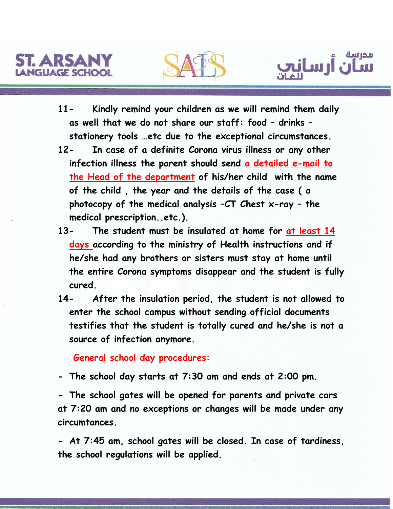





- **11- Kindly remind your children as we will remind them daily as well that we do not share our staff: food – drinks – stationery tools …etc due to the exceptional circumstances.**
- **12- In case of a definite Corona virus illness or any other infection illness the parent should send a detailed e-mail to the Head of the department of his/her child with the name of the child , the year and the details of the case ( a photocopy of the medical analysis –CT Chest x-ray – the medical prescription..etc.).**
- **13- The student must be insulated at home for at least 14 days according to the ministry of Health instructions and if he/she had any brothers or sisters must stay at home until the entire Corona symptoms disappear and the student is fully cured.**
- **14- After the insulation period, the student is not allowed to enter the school campus without sending official documents testifies that the student is totally cured and he/she is not a source of infection anymore.**

 **General school day procedures:**

**- The school day starts at 7:30 am and ends at 2:00 pm.**

**- The school gates will be opened for parents and private cars at 7:20 am and no exceptions or changes will be made under any circumtances.**

**- At 7:45 am, school gates will be closed. In case of tardiness, the school regulations will be applied.**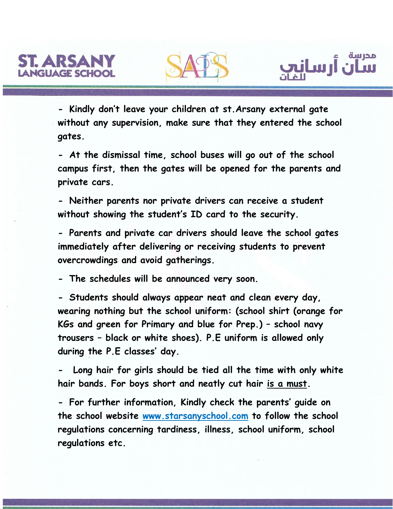



مدرسة

<sup>مدرس</sup> أرساني

**- At the dismissal time, school buses will go out of the school campus first, then the gates will be opened for the parents and private cars.**

**- Neither parents nor private drivers can receive a student without showing the student's ID card to the security.**

**- Parents and private car drivers should leave the school gates immediately after delivering or receiving students to prevent overcrowdings and avoid gatherings.**

**- The schedules will be announced very soon.**

**- Students should always appear neat and clean every day, wearing nothing but the school uniform: (school shirt (orange for KGs and green for Primary and blue for Prep.) – school navy trousers – black or white shoes). P.E uniform is allowed only during the P.E classes' day.**

**- Long hair for girls should be tied all the time with only white hair bands. For boys short and neatly cut hair is a must.**

**- For further information, Kindly check the parents' guide on the school website www.starsanyschool.com to follow the school regulations concerning tardiness, illness, school uniform, school regulations etc.**